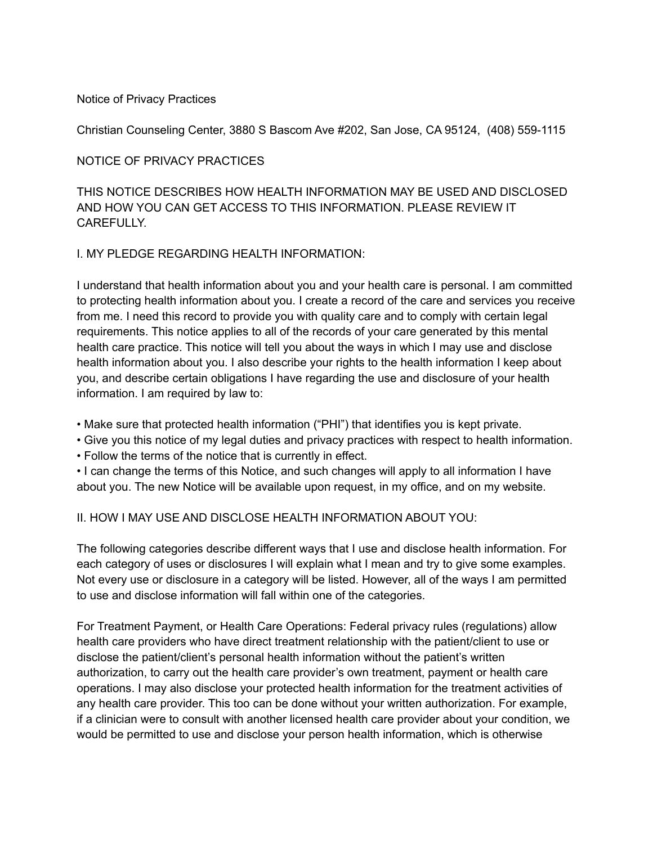## Notice of Privacy Practices

Christian Counseling Center, 3880 S Bascom Ave #202, San Jose, CA 95124, (408) 559-1115

## NOTICE OF PRIVACY PRACTICES

THIS NOTICE DESCRIBES HOW HEALTH INFORMATION MAY BE USED AND DISCLOSED AND HOW YOU CAN GET ACCESS TO THIS INFORMATION. PLEASE REVIEW IT **CARFFULLY** 

## I. MY PLEDGE REGARDING HEALTH INFORMATION:

I understand that health information about you and your health care is personal. I am committed to protecting health information about you. I create a record of the care and services you receive from me. I need this record to provide you with quality care and to comply with certain legal requirements. This notice applies to all of the records of your care generated by this mental health care practice. This notice will tell you about the ways in which I may use and disclose health information about you. I also describe your rights to the health information I keep about you, and describe certain obligations I have regarding the use and disclosure of your health information. I am required by law to:

• Make sure that protected health information ("PHI") that identifies you is kept private.

• Give you this notice of my legal duties and privacy practices with respect to health information.

• Follow the terms of the notice that is currently in effect.

• I can change the terms of this Notice, and such changes will apply to all information I have about you. The new Notice will be available upon request, in my office, and on my website.

## II. HOW I MAY USE AND DISCLOSE HEALTH INFORMATION ABOUT YOU:

The following categories describe different ways that I use and disclose health information. For each category of uses or disclosures I will explain what I mean and try to give some examples. Not every use or disclosure in a category will be listed. However, all of the ways I am permitted to use and disclose information will fall within one of the categories.

For Treatment Payment, or Health Care Operations: Federal privacy rules (regulations) allow health care providers who have direct treatment relationship with the patient/client to use or disclose the patient/client's personal health information without the patient's written authorization, to carry out the health care provider's own treatment, payment or health care operations. I may also disclose your protected health information for the treatment activities of any health care provider. This too can be done without your written authorization. For example, if a clinician were to consult with another licensed health care provider about your condition, we would be permitted to use and disclose your person health information, which is otherwise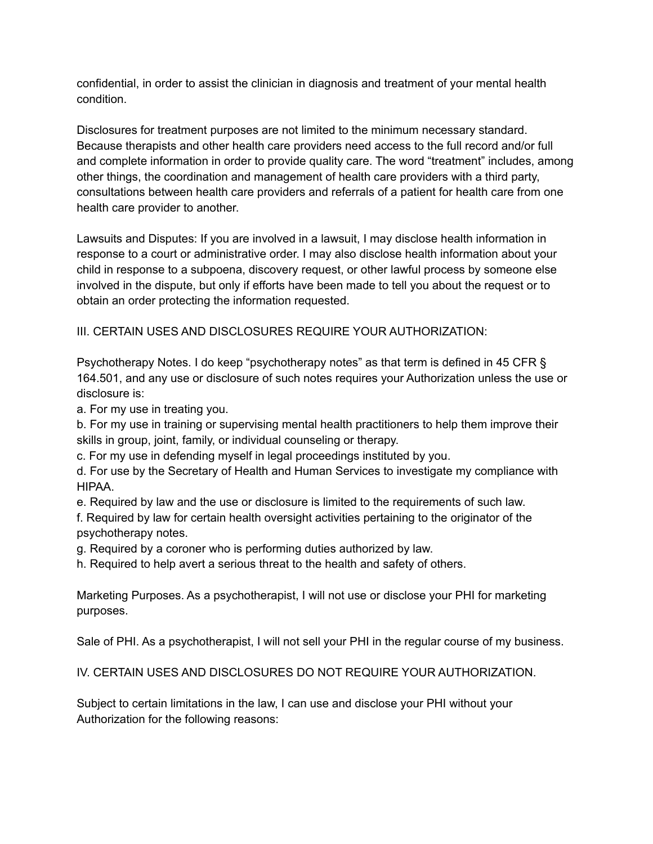confidential, in order to assist the clinician in diagnosis and treatment of your mental health condition.

Disclosures for treatment purposes are not limited to the minimum necessary standard. Because therapists and other health care providers need access to the full record and/or full and complete information in order to provide quality care. The word "treatment" includes, among other things, the coordination and management of health care providers with a third party, consultations between health care providers and referrals of a patient for health care from one health care provider to another.

Lawsuits and Disputes: If you are involved in a lawsuit, I may disclose health information in response to a court or administrative order. I may also disclose health information about your child in response to a subpoena, discovery request, or other lawful process by someone else involved in the dispute, but only if efforts have been made to tell you about the request or to obtain an order protecting the information requested.

III. CERTAIN USES AND DISCLOSURES REQUIRE YOUR AUTHORIZATION:

Psychotherapy Notes. I do keep "psychotherapy notes" as that term is defined in 45 CFR § 164.501, and any use or disclosure of such notes requires your Authorization unless the use or disclosure is:

a. For my use in treating you.

b. For my use in training or supervising mental health practitioners to help them improve their skills in group, joint, family, or individual counseling or therapy.

c. For my use in defending myself in legal proceedings instituted by you.

d. For use by the Secretary of Health and Human Services to investigate my compliance with HIPAA.

e. Required by law and the use or disclosure is limited to the requirements of such law.

f. Required by law for certain health oversight activities pertaining to the originator of the psychotherapy notes.

g. Required by a coroner who is performing duties authorized by law.

h. Required to help avert a serious threat to the health and safety of others.

Marketing Purposes. As a psychotherapist, I will not use or disclose your PHI for marketing purposes.

Sale of PHI. As a psychotherapist, I will not sell your PHI in the regular course of my business.

IV. CERTAIN USES AND DISCLOSURES DO NOT REQUIRE YOUR AUTHORIZATION.

Subject to certain limitations in the law, I can use and disclose your PHI without your Authorization for the following reasons: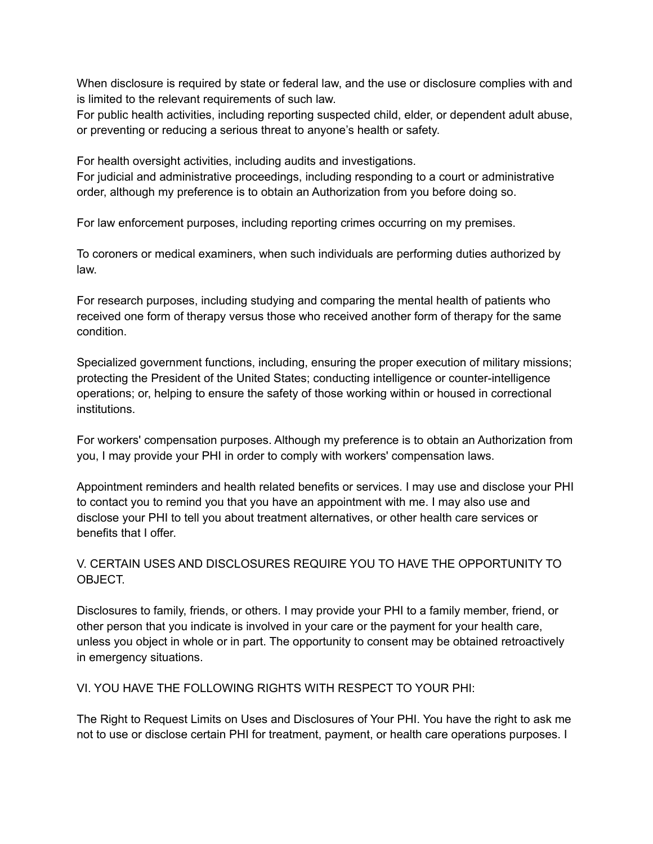When disclosure is required by state or federal law, and the use or disclosure complies with and is limited to the relevant requirements of such law.

For public health activities, including reporting suspected child, elder, or dependent adult abuse, or preventing or reducing a serious threat to anyone's health or safety.

For health oversight activities, including audits and investigations.

For judicial and administrative proceedings, including responding to a court or administrative order, although my preference is to obtain an Authorization from you before doing so.

For law enforcement purposes, including reporting crimes occurring on my premises.

To coroners or medical examiners, when such individuals are performing duties authorized by law.

For research purposes, including studying and comparing the mental health of patients who received one form of therapy versus those who received another form of therapy for the same condition.

Specialized government functions, including, ensuring the proper execution of military missions; protecting the President of the United States; conducting intelligence or counter-intelligence operations; or, helping to ensure the safety of those working within or housed in correctional institutions.

For workers' compensation purposes. Although my preference is to obtain an Authorization from you, I may provide your PHI in order to comply with workers' compensation laws.

Appointment reminders and health related benefits or services. I may use and disclose your PHI to contact you to remind you that you have an appointment with me. I may also use and disclose your PHI to tell you about treatment alternatives, or other health care services or benefits that I offer.

# V. CERTAIN USES AND DISCLOSURES REQUIRE YOU TO HAVE THE OPPORTUNITY TO OBJECT.

Disclosures to family, friends, or others. I may provide your PHI to a family member, friend, or other person that you indicate is involved in your care or the payment for your health care, unless you object in whole or in part. The opportunity to consent may be obtained retroactively in emergency situations.

VI. YOU HAVE THE FOLLOWING RIGHTS WITH RESPECT TO YOUR PHI:

The Right to Request Limits on Uses and Disclosures of Your PHI. You have the right to ask me not to use or disclose certain PHI for treatment, payment, or health care operations purposes. I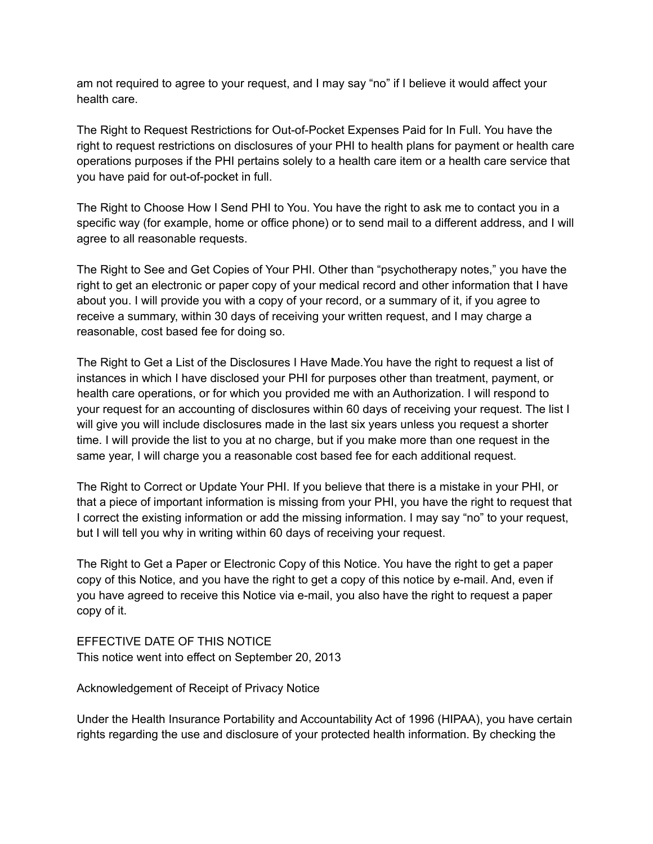am not required to agree to your request, and I may say "no" if I believe it would affect your health care.

The Right to Request Restrictions for Out-of-Pocket Expenses Paid for In Full. You have the right to request restrictions on disclosures of your PHI to health plans for payment or health care operations purposes if the PHI pertains solely to a health care item or a health care service that you have paid for out-of-pocket in full.

The Right to Choose How I Send PHI to You. You have the right to ask me to contact you in a specific way (for example, home or office phone) or to send mail to a different address, and I will agree to all reasonable requests.

The Right to See and Get Copies of Your PHI. Other than "psychotherapy notes," you have the right to get an electronic or paper copy of your medical record and other information that I have about you. I will provide you with a copy of your record, or a summary of it, if you agree to receive a summary, within 30 days of receiving your written request, and I may charge a reasonable, cost based fee for doing so.

The Right to Get a List of the Disclosures I Have Made.You have the right to request a list of instances in which I have disclosed your PHI for purposes other than treatment, payment, or health care operations, or for which you provided me with an Authorization. I will respond to your request for an accounting of disclosures within 60 days of receiving your request. The list I will give you will include disclosures made in the last six years unless you request a shorter time. I will provide the list to you at no charge, but if you make more than one request in the same year, I will charge you a reasonable cost based fee for each additional request.

The Right to Correct or Update Your PHI. If you believe that there is a mistake in your PHI, or that a piece of important information is missing from your PHI, you have the right to request that I correct the existing information or add the missing information. I may say "no" to your request, but I will tell you why in writing within 60 days of receiving your request.

The Right to Get a Paper or Electronic Copy of this Notice. You have the right to get a paper copy of this Notice, and you have the right to get a copy of this notice by e-mail. And, even if you have agreed to receive this Notice via e-mail, you also have the right to request a paper copy of it.

EFFECTIVE DATE OF THIS NOTICE This notice went into effect on September 20, 2013

Acknowledgement of Receipt of Privacy Notice

Under the Health Insurance Portability and Accountability Act of 1996 (HIPAA), you have certain rights regarding the use and disclosure of your protected health information. By checking the